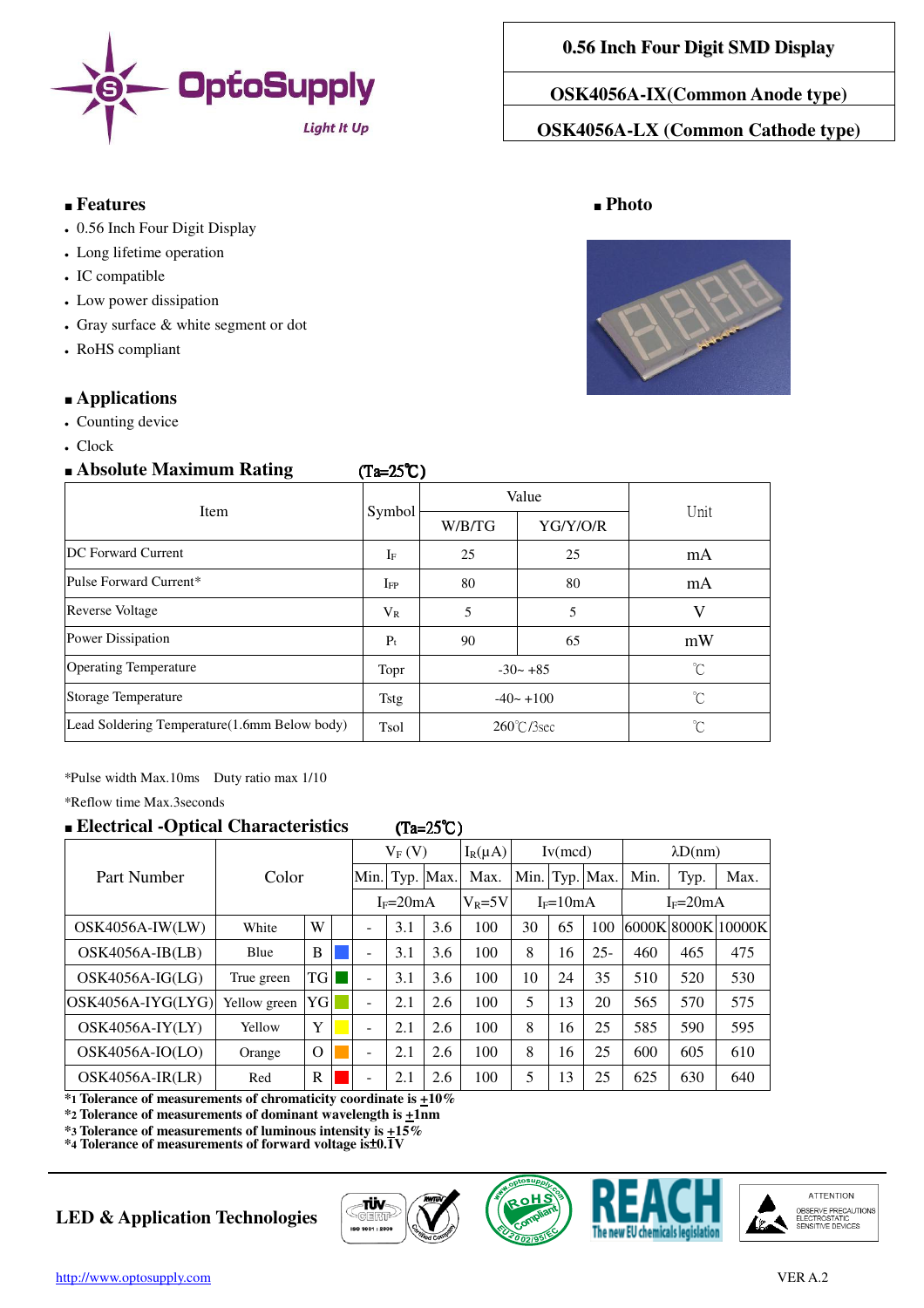

#### ■ **Features** ■ **Photo**

- 0.56 Inch Four Digit Display
- Long lifetime operation
- IC compatible
- Low power dissipation
- $\cdot$  Gray surface  $\&$  white segment or dot
- RoHS compliant

#### ■ **Applications**

- Counting device
- $\cdot$  Clock

# ■ **Absolute Maximum Rating (Ta=25℃)**

**OSK4056A-IX(Common Anode type)** 

**OSK4056A-LX (Common Cathode type)** 



| $\blacksquare$                               | \_~_____     |                      |          |      |
|----------------------------------------------|--------------|----------------------|----------|------|
| Item                                         | Symbol       | Value                |          | Unit |
|                                              |              | W/B/TG               | YG/Y/O/R |      |
| <b>DC</b> Forward Current                    | $I_F$        | 25                   | 25       | mA   |
| Pulse Forward Current*                       | $_{\rm IFP}$ | 80                   | 80       | mA   |
| <b>Reverse Voltage</b>                       | $V_{R}$      | 5                    | 5        | V    |
| Power Dissipation                            | $P_t$        | 90                   | 65       | mW   |
| <b>Operating Temperature</b>                 | Topr         | $-30 - +85$          |          | °C   |
| <b>Storage Temperature</b>                   | Tstg         | $-40 - +100$         |          | °C   |
| Lead Soldering Temperature(1.6mm Below body) | Tsol         | $260^{\circ}$ C/3sec |          | °C   |

\*Pulse width Max.10ms Duty ratio max 1/10

\*Reflow time Max.3seconds

## ■ **Electrical -Optical Characteristics** (Ta=25℃ (Ta=25℃)

# Part Number | Color  $V_F (V)$   $I_R(\mu A)$  Iv(mcd)  $\lambda D(nm)$ Min. Typ.  $\vert$ Max.  $\vert$  Max.  $\vert$ Min. Typ.  $\vert$  Max. Min. Typ.  $\vert$  Max.  $I_F=20mA$   $|V_R=5V|$   $I_F=10mA$   $|I_F=20mA$ OSK4056A-IW(LW) white W - 3.1 3.6 100 30 65 100 6000K 8000K 10000K OSK4056A-IB(LB) Blue B  $\parallel$  B  $\parallel$  - 3.1 3.6 100 8 16 25- 460 465 475 OSK4056A-IG(LG) True green  $\vert TG \vert \vert = \vert 3.1 \vert 3.6 \vert 100 \vert 10 \vert 24 \vert 35 \vert 510 \vert 520 \vert 530$ OSK4056A-IYG(LYG) Yellow green YG ■ - 2.1 2.6 100 5 13 20 565 570 575 OSK4056A-IY(LY) Yellow  $Y \parallel \parallel$  - 2.1 2.6 100 8 16 25 585 590 595 OSK4056A-IO(LO)  $\vert$  Orange  $\vert$  O  $\vert$  - 2.1 2.6 100 8 16 25 600 605 610 OSK4056A-IR(LR) Red R | | 2.1 | 2.6 | 100 | 5 | 13 | 25 | 625 | 630 | 640

**\*1 Tolerance of measurements of chromaticity coordinate is +10%**

**\*2 Tolerance of measurements of dominant wavelength is +1nm**

**\*3 Tolerance of measurements of luminous intensity is +15% \*4 Tolerance of measurements of forward voltage is**±**0.1V**

## **LED & Application Technologies**







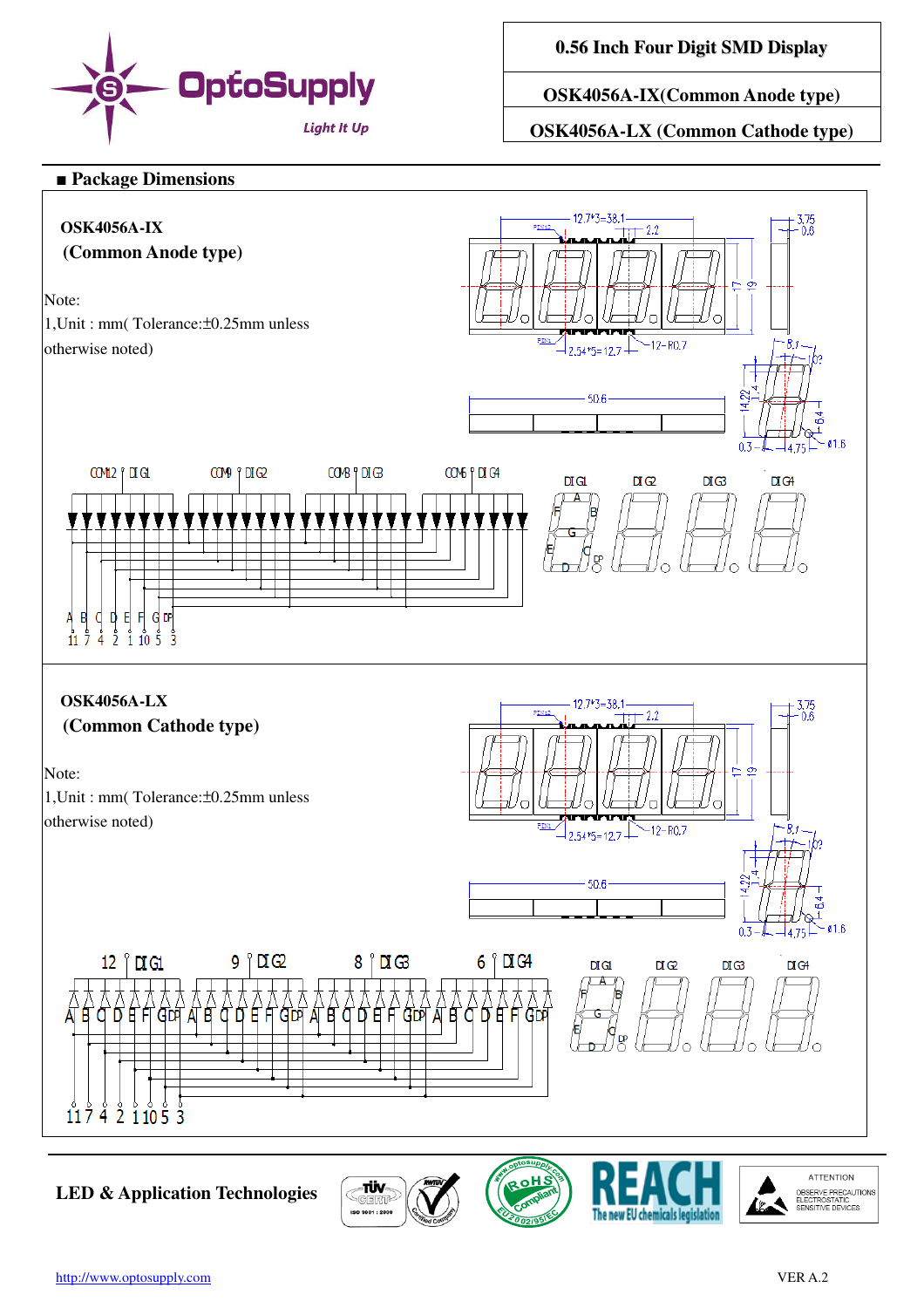

**0.56 Inch Four Digit SMD Display**

**OSK4056A-IX(Common Anode type)** 

**OSK4056A-LX (Common Cathode type)** 

#### ■ **Package Dimensions**



**LED & Application Technologies**



**ATTENTION** 

OBSERVE PRECAUTIONS<br>ELECTROSTATIC<br>SENSITIVE DEVICES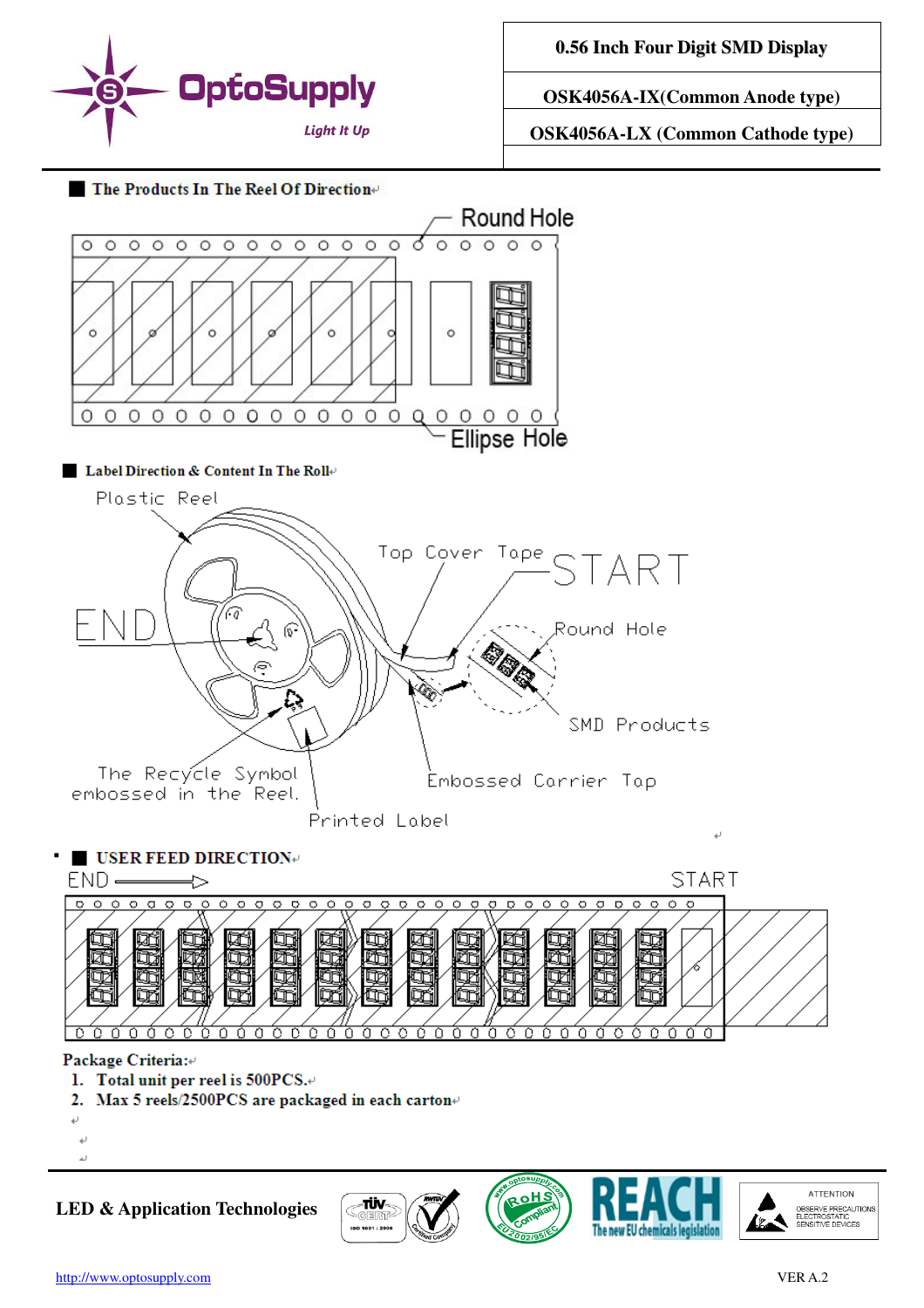

**0.56 Inch Four Digit SMD Display**

**OSK4056A-IX(Common Anode type)** 

**OSK4056A-LX (Common Cathode type)** 





**LED & Application Technologies**